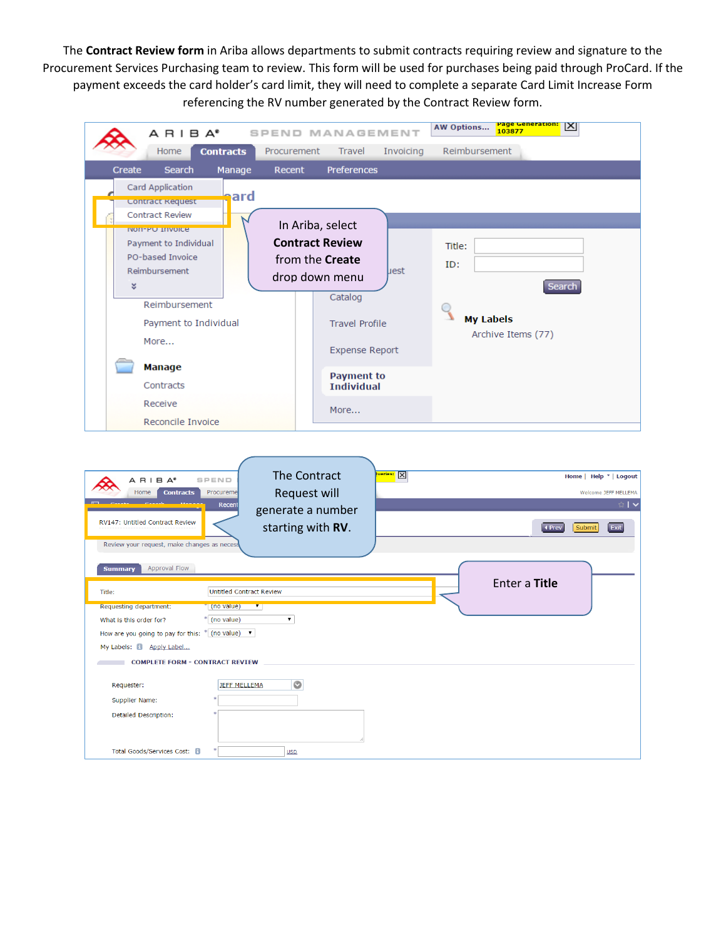The **Contract Review form** in Ariba allows departments to submit contracts requiring review and signature to the Procurement Services Purchasing team to review. This form will be used for purchases being paid through ProCard. If the payment exceeds the card holder's card limit, they will need to complete a separate Card Limit Increase Form referencing the RV number generated by the Contract Review form.

| $A$ $B$ $I$ $B$ $A^*$                                                                                                                                                                              | SPEND MANAGEMENT                                                                                   | <u>Page Generation:</u><br>X<br><b>AW Options</b><br>103877                                          |
|----------------------------------------------------------------------------------------------------------------------------------------------------------------------------------------------------|----------------------------------------------------------------------------------------------------|------------------------------------------------------------------------------------------------------|
| <b>Contracts</b><br>Home                                                                                                                                                                           | Procurement<br>Invoicing<br>Travel                                                                 | Reimbursement                                                                                        |
| Create<br><b>Search</b><br>Manage                                                                                                                                                                  | Preferences<br>Recent                                                                              |                                                                                                      |
| Card Application<br>ard<br><b>Contract Request</b><br><b>Contract Review</b><br><b>NON-PO INVOICE</b><br>Payment to Individual<br>PO-based Invoice<br>Reimbursement<br>×                           | In Ariba, select<br><b>Contract Review</b><br>from the Create<br>uest<br>drop down menu<br>Catalog | Title:<br>ID:<br><b>Search</b>                                                                       |
| Reimbursement<br>Payment to Individual<br>More<br><b>Manage</b>                                                                                                                                    | <b>Travel Profile</b><br><b>Expense Report</b>                                                     | <b>My Labels</b><br>Archive Items (77)                                                               |
| Contracts                                                                                                                                                                                          | <b>Payment to</b><br><b>Individual</b>                                                             |                                                                                                      |
| Receive                                                                                                                                                                                            | More                                                                                               |                                                                                                      |
| Reconcile Invoice                                                                                                                                                                                  |                                                                                                    |                                                                                                      |
| $A$ R I B $A^*$<br>SPEND<br><b>Contracts</b><br>Home<br>Procureme<br>Recent<br>RV147: Untitled Contract Review<br>Review your request, make changes as necess                                      | The Contract<br><u>ueries: X</u><br><b>Request will</b><br>generate a number<br>starting with RV.  | Home   Help *   Logout<br>Welcome JEFF MELLEMA<br>$\mathsf{I}\mathsf{v}$<br>4 Prev<br>Submit<br>Exit |
| <b>Approval Flow</b><br><b>Summary</b>                                                                                                                                                             |                                                                                                    |                                                                                                      |
| <b>Untitled Contract Review</b><br>Title:<br>Requesting department:<br>(no value)<br>$\overline{\ }$<br>* (no value)<br>What is this order for?<br>How are you going to pay for this: * (no value) | ▼                                                                                                  | Enter a Title                                                                                        |
| My Labels: 8 Apply Label                                                                                                                                                                           |                                                                                                    |                                                                                                      |
| COMPLETE FORM - CONTRACT REVIEW                                                                                                                                                                    |                                                                                                    |                                                                                                      |
| <b>JEFF MELLEMA</b><br>Requester:<br>Supplier Name:<br>Detailed Description:                                                                                                                       | $\circ$                                                                                            |                                                                                                      |
|                                                                                                                                                                                                    |                                                                                                    |                                                                                                      |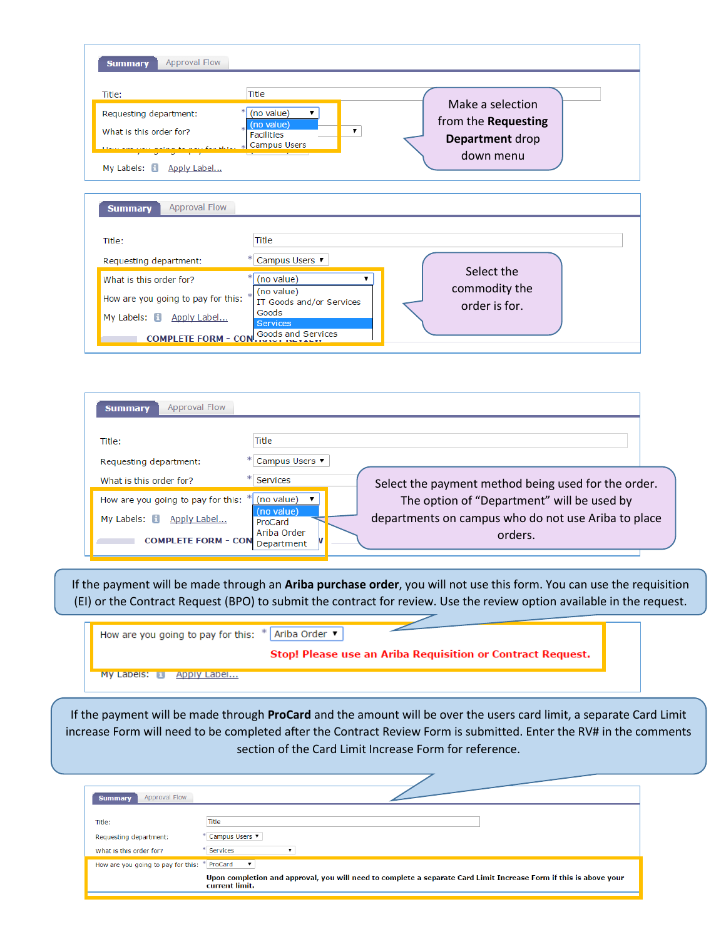| Approval Flow<br><b>Summary</b>                                                                                                                                |                                                                                                                          |                                                                         |
|----------------------------------------------------------------------------------------------------------------------------------------------------------------|--------------------------------------------------------------------------------------------------------------------------|-------------------------------------------------------------------------|
| Title:<br>Requesting department:<br>What is this order for?<br><u>vou apina to nou for thier</u><br>My Labels: 8 Apply Label                                   | <b>Title</b><br>(no value)<br>▼<br>(no value)<br>▼<br><b>Facilities</b><br><b>Campus Users</b>                           | Make a selection<br>from the Requesting<br>Department drop<br>down menu |
| <b>Approval Flow</b><br><b>Summary</b><br>Title:                                                                                                               | <b>Title</b>                                                                                                             |                                                                         |
| Requesting department:<br>What is this order for?<br>How are you going to pay for this:<br>My Labels: $\Box$<br>Apply Label<br>COMPLETE FORM $\sim$ CON $\sim$ | Campus Users ▼<br>(no value)<br>(no value)<br>IT Goods and/or Services<br>Goods<br><b>Services</b><br>Goods and Services | Select the<br>commodity the<br>order is for.                            |

| Approval Flow<br><b>Summary</b>    |                                                                              |  |
|------------------------------------|------------------------------------------------------------------------------|--|
| Title:                             | Title                                                                        |  |
| Requesting department:             | Campus Users ▼                                                               |  |
| What is this order for?            | Services<br>Select the payment method being used for the order.              |  |
| How are you going to pay for this: | (no value)<br>The option of "Department" will be used by                     |  |
| My Labels: 1<br>Apply Label        | (no value)<br>departments on campus who do not use Ariba to place<br>ProCard |  |
| <b>COMPLETE FORM - CON</b>         | Ariba Order<br>orders.<br>Department                                         |  |
|                                    |                                                                              |  |

If the payment will be made through an **Ariba purchase order**, you will not use this form. You can use the requisition (EI) or the Contract Request (BPO) to submit the contract for review. Use the review option available in the request.

 $\overline{\phantom{0}}$ 

| How are you going to pay for this: $*$ Ariba Order $\blacktriangledown$ |                                                                   |
|-------------------------------------------------------------------------|-------------------------------------------------------------------|
|                                                                         | <b>Stop! Please use an Ariba Requisition or Contract Request.</b> |
| <b>My Labels: Elle Apply Label</b>                                      |                                                                   |

If the payment will be made through **ProCard** and the amount will be over the users card limit, a separate Card Limit increase Form will need to be completed after the Contract Review Form is submitted. Enter the RV# in the comments section of the Card Limit Increase Form for reference.

| Approval Flow<br><b>Summary</b>                             |                                                                                                                                                     |
|-------------------------------------------------------------|-----------------------------------------------------------------------------------------------------------------------------------------------------|
| Title:<br>Requesting department:<br>What is this order for? | Title<br>Campus Users ▼<br>Services                                                                                                                 |
| How are you going to pay for this: * ProCard                | $\mathbf{v}$<br>Upon completion and approval, you will need to complete a separate Card Limit Increase Form if this is above your<br>current limit. |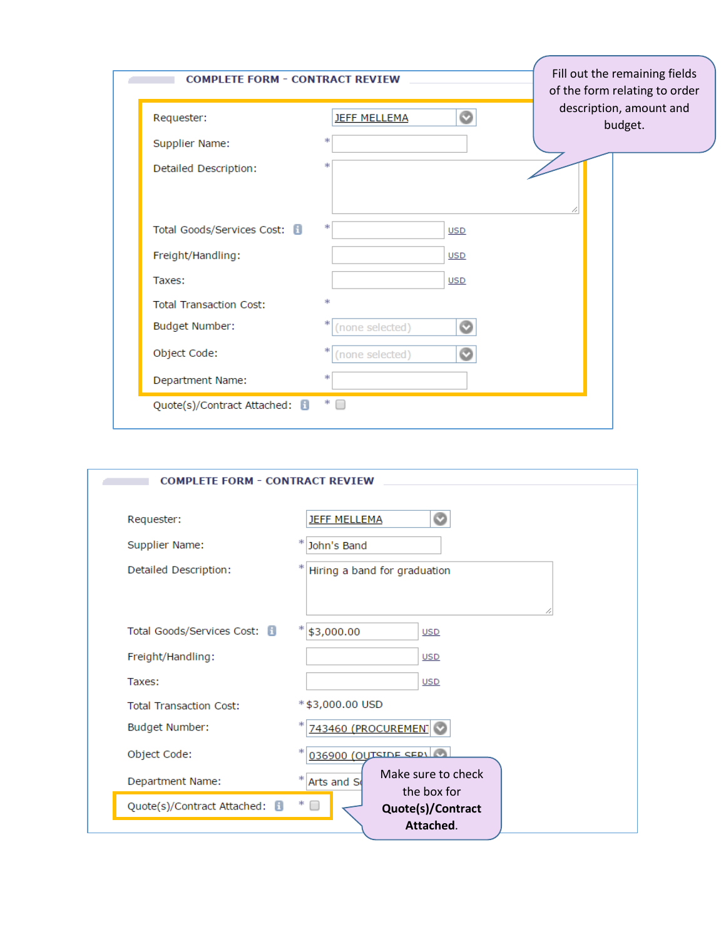| Requester:                     | Ø<br><b>JEFF MELLEMA</b>  | description, amount and<br>budget. |
|--------------------------------|---------------------------|------------------------------------|
| Supplier Name:                 | *                         |                                    |
| Detailed Description:          | *                         |                                    |
| Total Goods/Services Cost: 8   | *<br><b>USD</b>           |                                    |
| Freight/Handling:              | <b>USD</b>                |                                    |
| Taxes:                         | <b>USD</b>                |                                    |
| <b>Total Transaction Cost:</b> | *                         |                                    |
| Budget Number:                 | *<br>Ø<br>(none selected) |                                    |
| Object Code:                   | *<br>(none selected)      |                                    |
| Department Name:               | *                         |                                    |

| <b>COMPLETE FORM - CONTRACT REVIEW</b> |                                  |  |  |
|----------------------------------------|----------------------------------|--|--|
| Requester:                             | Ø<br><b>JEFF MELLEMA</b>         |  |  |
| Supplier Name:                         | John's Band                      |  |  |
| Detailed Description:                  | Hiring a band for graduation     |  |  |
|                                        |                                  |  |  |
| Total Goods/Services Cost: 8           | \$3,000.00<br><b>USD</b>         |  |  |
| Freight/Handling:                      | <b>USD</b>                       |  |  |
| Taxes:                                 | <b>USD</b>                       |  |  |
| <b>Total Transaction Cost:</b>         | *\$3,000.00 USD                  |  |  |
| Budget Number:                         | 743460 (PROCUREMENT              |  |  |
| Object Code:                           | $036900$ (OUTSIDE SERVICE        |  |  |
| Department Name:                       | Make sure to check<br>Arts and S |  |  |
| Quote(s)/Contract Attached:            | the box for<br>Quote(s)/Contract |  |  |
|                                        | Attached.                        |  |  |